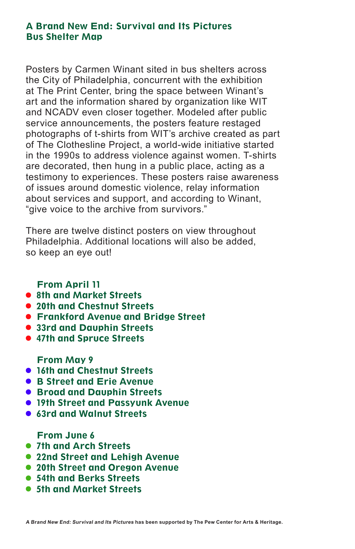## A Brand New End: Survival and Its PicturesBus Shelter Map

Posters by Carmen Winant sited in bus shelters across the City of Philadelphia, concurrent with the exhibition at The Print Center, bring the space between Winant's art and the information shared by organization like WIT and NCADV even closer together. Modeled after public service announcements, the posters feature restaged photographs of t-shirts from WIT's archive created as part of The Clothesline Project, a world-wide initiative started in the 1990s to address violence against women. T-shirts are decorated, then hung in a public place, acting as a testimony to experiences. These posters raise awareness of issues around domestic violence, relay information about services and support, and according to Winant, "give voice to the archive from survivors."

There are twelve distinct posters on view throughout Philadelphia. Additional locations will also be added, so keep an eye out!

## From April 11

- 8th and Market Streets
- 20th and Chestnut Streets
- **Frankford Avenue and Bridge Street**
- 33rd and Dauphin Streets
- 47th and Spruce Streets

From May 9

- 16th and Chestnut Streets
- B Street and Erie Avenue
- Broad and Dauphin Streets
- 19th Street and Passyunk Avenue
- 63rd and Walnut Streets

## From June 6

- 7th and Arch Streets
- 22nd Street and Lehigh Avenue
- 20th Street and Oregon Avenue
- 54th and Berks Streets
- 5th and Market Streets